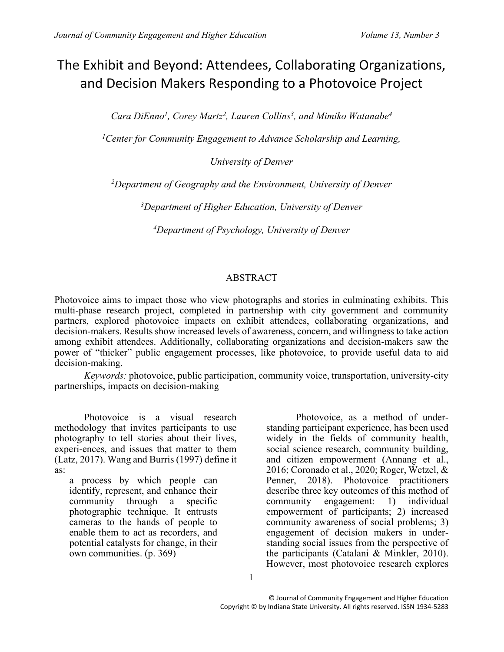# The Exhibit and Beyond: Attendees, Collaborating Organizations, and Decision Makers Responding to a Photovoice Project

*Cara DiEnno<sup>1</sup> , Corey Martz<sup>2</sup> , Lauren Collins<sup>3</sup> , and Mimiko Watanabe<sup>4</sup>*

*<sup>1</sup>Center for Community Engagement to Advance Scholarship and Learning,* 

*University of Denver*

*<sup>2</sup>Department of Geography and the Environment, University of Denver*

*<sup>3</sup>Department of Higher Education, University of Denver*

*<sup>4</sup>Department of Psychology, University of Denver*

# ABSTRACT

Photovoice aims to impact those who view photographs and stories in culminating exhibits. This multi-phase research project, completed in partnership with city government and community partners, explored photovoice impacts on exhibit attendees, collaborating organizations, and decision-makers. Results show increased levels of awareness, concern, and willingness to take action among exhibit attendees. Additionally, collaborating organizations and decision-makers saw the power of "thicker" public engagement processes, like photovoice, to provide useful data to aid decision-making.

*Keywords:* photovoice, public participation, community voice, transportation, university-city partnerships, impacts on decision-making

Photovoice is a visual research methodology that invites participants to use photography to tell stories about their lives, experi-ences, and issues that matter to them (Latz, 2017). Wang and Burris (1997) define it as:

a process by which people can identify, represent, and enhance their community through a specific photographic technique. It entrusts cameras to the hands of people to enable them to act as recorders, and potential catalysts for change, in their own communities. (p. 369)

Photovoice, as a method of understanding participant experience, has been used widely in the fields of community health, social science research, community building, and citizen empowerment (Annang et al., 2016; Coronado et al., 2020; Roger, Wetzel, & Penner, 2018). Photovoice practitioners describe three key outcomes of this method of community engagement: 1) individual empowerment of participants; 2) increased community awareness of social problems; 3) engagement of decision makers in understanding social issues from the perspective of the participants (Catalani & Minkler, 2010). However, most photovoice research explores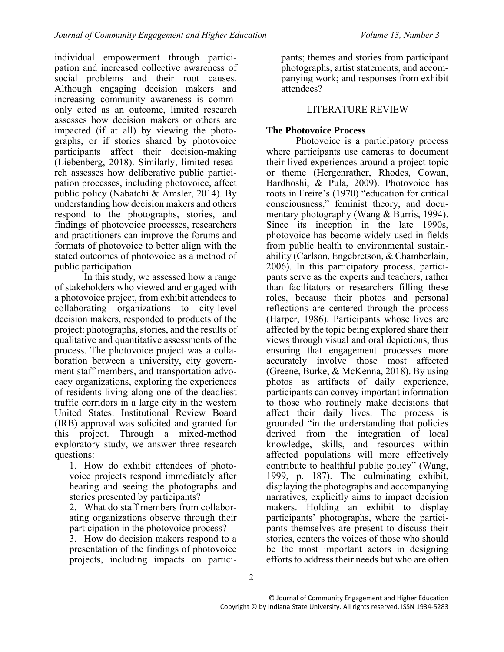individual empowerment through participation and increased collective awareness of social problems and their root causes. Although engaging decision makers and increasing community awareness is commonly cited as an outcome, limited research assesses how decision makers or others are impacted (if at all) by viewing the photographs, or if stories shared by photovoice participants affect their decision-making (Liebenberg, 2018). Similarly, limited research assesses how deliberative public participation processes, including photovoice, affect public policy (Nabatchi & Amsler, 2014). By understanding how decision makers and others respond to the photographs, stories, and findings of photovoice processes, researchers and practitioners can improve the forums and formats of photovoice to better align with the stated outcomes of photovoice as a method of public participation.

In this study, we assessed how a range of stakeholders who viewed and engaged with a photovoice project, from exhibit attendees to collaborating organizations to city-level decision makers, responded to products of the project: photographs, stories, and the results of qualitative and quantitative assessments of the process. The photovoice project was a collaboration between a university, city government staff members, and transportation advocacy organizations, exploring the experiences of residents living along one of the deadliest traffic corridors in a large city in the western United States. Institutional Review Board (IRB) approval was solicited and granted for this project. Through a mixed-method exploratory study, we answer three research questions:

1. How do exhibit attendees of photovoice projects respond immediately after hearing and seeing the photographs and stories presented by participants?

2. What do staff members from collaborating organizations observe through their participation in the photovoice process?

3. How do decision makers respond to a presentation of the findings of photovoice projects, including impacts on participants; themes and stories from participant photographs, artist statements, and accompanying work; and responses from exhibit attendees?

# LITERATURE REVIEW

# **The Photovoice Process**

Photovoice is a participatory process where participants use cameras to document their lived experiences around a project topic or theme (Hergenrather, Rhodes, Cowan, Bardhoshi, & Pula, 2009). Photovoice has roots in Freire's (1970) "education for critical consciousness," feminist theory, and documentary photography (Wang & Burris, 1994). Since its inception in the late 1990s, photovoice has become widely used in fields from public health to environmental sustainability (Carlson, Engebretson, & Chamberlain, 2006). In this participatory process, participants serve as the experts and teachers, rather than facilitators or researchers filling these roles, because their photos and personal reflections are centered through the process (Harper, 1986). Participants whose lives are affected by the topic being explored share their views through visual and oral depictions, thus ensuring that engagement processes more accurately involve those most affected (Greene, Burke, & McKenna, 2018). By using photos as artifacts of daily experience, participants can convey important information to those who routinely make decisions that affect their daily lives. The process is grounded "in the understanding that policies derived from the integration of local knowledge, skills, and resources within affected populations will more effectively contribute to healthful public policy" (Wang, 1999, p. 187). The culminating exhibit, displaying the photographs and accompanying narratives, explicitly aims to impact decision makers. Holding an exhibit to display participants' photographs, where the participants themselves are present to discuss their stories, centers the voices of those who should be the most important actors in designing efforts to address their needs but who are often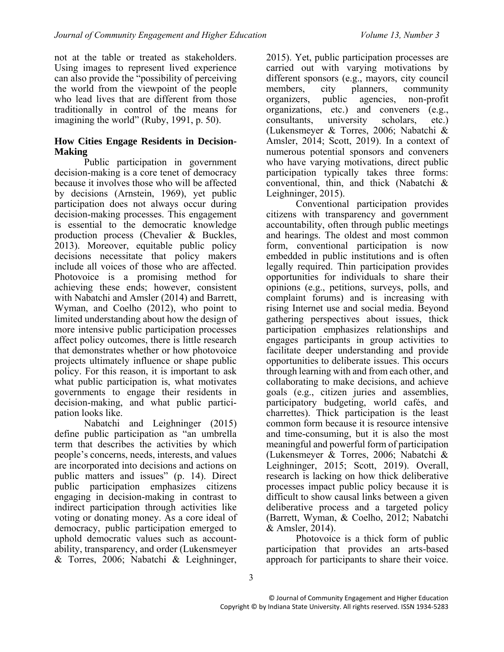not at the table or treated as stakeholders. Using images to represent lived experience can also provide the "possibility of perceiving the world from the viewpoint of the people who lead lives that are different from those traditionally in control of the means for imagining the world" (Ruby, 1991, p. 50).

### **How Cities Engage Residents in Decision-Making**

Public participation in government decision-making is a core tenet of democracy because it involves those who will be affected by decisions (Arnstein, 1969), yet public participation does not always occur during decision-making processes. This engagement is essential to the democratic knowledge production process (Chevalier & Buckles, 2013). Moreover, equitable public policy decisions necessitate that policy makers include all voices of those who are affected. Photovoice is a promising method for achieving these ends; however, consistent with Nabatchi and Amsler (2014) and Barrett, Wyman, and Coelho (2012), who point to limited understanding about how the design of more intensive public participation processes affect policy outcomes, there is little research that demonstrates whether or how photovoice projects ultimately influence or shape public policy. For this reason, it is important to ask what public participation is, what motivates governments to engage their residents in decision-making, and what public participation looks like.

Nabatchi and Leighninger (2015) define public participation as "an umbrella term that describes the activities by which people's concerns, needs, interests, and values are incorporated into decisions and actions on public matters and issues" (p. 14). Direct public participation emphasizes citizens engaging in decision-making in contrast to indirect participation through activities like voting or donating money. As a core ideal of democracy, public participation emerged to uphold democratic values such as accountability, transparency, and order (Lukensmeyer & Torres, 2006; Nabatchi & Leighninger,

2015). Yet, public participation processes are carried out with varying motivations by different sponsors (e.g., mayors, city council members, city planners, community organizers, public agencies, non-profit organizations, etc.) and conveners (e.g., consultants, university scholars, etc.) (Lukensmeyer & Torres, 2006; Nabatchi & Amsler, 2014; Scott, 2019). In a context of numerous potential sponsors and conveners who have varying motivations, direct public participation typically takes three forms: conventional, thin, and thick (Nabatchi & Leighninger, 2015).

Conventional participation provides citizens with transparency and government accountability, often through public meetings and hearings. The oldest and most common form, conventional participation is now embedded in public institutions and is often legally required. Thin participation provides opportunities for individuals to share their opinions (e.g., petitions, surveys, polls, and complaint forums) and is increasing with rising Internet use and social media. Beyond gathering perspectives about issues, thick participation emphasizes relationships and engages participants in group activities to facilitate deeper understanding and provide opportunities to deliberate issues. This occurs through learning with and from each other, and collaborating to make decisions, and achieve goals (e.g., citizen juries and assemblies, participatory budgeting, world cafés, and charrettes). Thick participation is the least common form because it is resource intensive and time-consuming, but it is also the most meaningful and powerful form of participation (Lukensmeyer & Torres, 2006; Nabatchi & Leighninger, 2015; Scott, 2019). Overall, research is lacking on how thick deliberative processes impact public policy because it is difficult to show causal links between a given deliberative process and a targeted policy (Barrett, Wyman, & Coelho, 2012; Nabatchi & Amsler, 2014).

Photovoice is a thick form of public participation that provides an arts-based approach for participants to share their voice.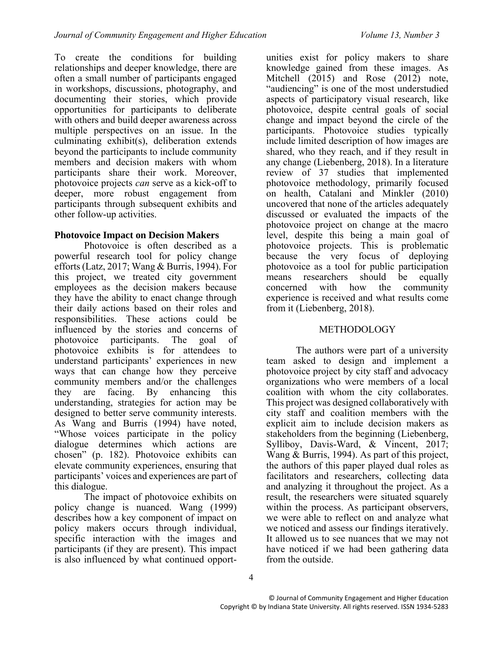To create the conditions for building relationships and deeper knowledge, there are often a small number of participants engaged in workshops, discussions, photography, and documenting their stories, which provide opportunities for participants to deliberate with others and build deeper awareness across multiple perspectives on an issue. In the culminating exhibit(s), deliberation extends beyond the participants to include community members and decision makers with whom participants share their work. Moreover, photovoice projects *can* serve as a kick-off to deeper, more robust engagement from participants through subsequent exhibits and other follow-up activities.

# **Photovoice Impact on Decision Makers**

Photovoice is often described as a powerful research tool for policy change efforts (Latz, 2017; Wang & Burris, 1994). For this project, we treated city government employees as the decision makers because they have the ability to enact change through their daily actions based on their roles and responsibilities. These actions could be influenced by the stories and concerns of photovoice participants. The goal of photovoice exhibits is for attendees to understand participants' experiences in new ways that can change how they perceive community members and/or the challenges they are facing. By enhancing this understanding, strategies for action may be designed to better serve community interests. As Wang and Burris (1994) have noted, "Whose voices participate in the policy dialogue determines which actions are chosen" (p. 182). Photovoice exhibits can elevate community experiences, ensuring that participants' voices and experiences are part of this dialogue.

The impact of photovoice exhibits on policy change is nuanced. Wang (1999) describes how a key component of impact on policy makers occurs through individual, specific interaction with the images and participants (if they are present). This impact is also influenced by what continued opportunities exist for policy makers to share knowledge gained from these images. As Mitchell (2015) and Rose (2012) note, "audiencing" is one of the most understudied aspects of participatory visual research, like photovoice, despite central goals of social change and impact beyond the circle of the participants. Photovoice studies typically include limited description of how images are shared, who they reach, and if they result in any change (Liebenberg, 2018). In a literature review of 37 studies that implemented photovoice methodology, primarily focused on health, Catalani and Minkler (2010) uncovered that none of the articles adequately discussed or evaluated the impacts of the photovoice project on change at the macro level, despite this being a main goal of photovoice projects. This is problematic because the very focus of deploying photovoice as a tool for public participation means researchers should be equally concerned with how the community experience is received and what results come from it (Liebenberg, 2018).

# METHODOLOGY

The authors were part of a university team asked to design and implement a photovoice project by city staff and advocacy organizations who were members of a local coalition with whom the city collaborates. This project was designed collaboratively with city staff and coalition members with the explicit aim to include decision makers as stakeholders from the beginning (Liebenberg, Sylliboy, Davis-Ward, & Vincent, 2017; Wang & Burris, 1994). As part of this project, the authors of this paper played dual roles as facilitators and researchers, collecting data and analyzing it throughout the project. As a result, the researchers were situated squarely within the process. As participant observers, we were able to reflect on and analyze what we noticed and assess our findings iteratively. It allowed us to see nuances that we may not have noticed if we had been gathering data from the outside.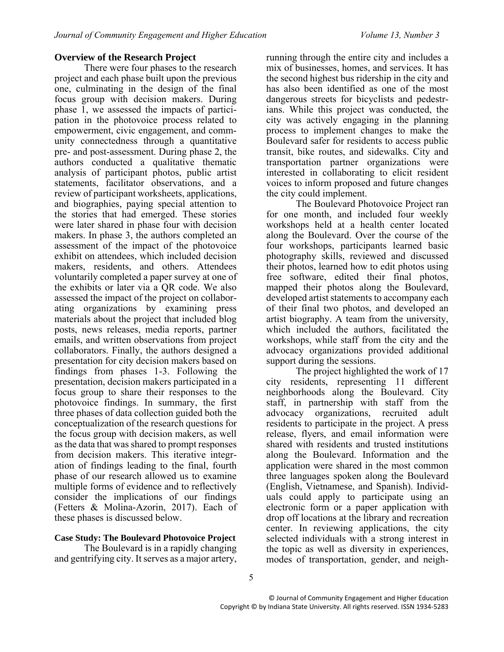# **Overview of the Research Project**

There were four phases to the research project and each phase built upon the previous one, culminating in the design of the final focus group with decision makers. During phase 1, we assessed the impacts of participation in the photovoice process related to empowerment, civic engagement, and community connectedness through a quantitative pre- and post-assessment. During phase 2, the authors conducted a qualitative thematic analysis of participant photos, public artist statements, facilitator observations, and a review of participant worksheets, applications, and biographies, paying special attention to the stories that had emerged. These stories were later shared in phase four with decision makers. In phase 3, the authors completed an assessment of the impact of the photovoice exhibit on attendees, which included decision makers, residents, and others. Attendees voluntarily completed a paper survey at one of the exhibits or later via a QR code. We also assessed the impact of the project on collaborating organizations by examining press materials about the project that included blog posts, news releases, media reports, partner emails, and written observations from project collaborators. Finally, the authors designed a presentation for city decision makers based on findings from phases 1-3. Following the presentation, decision makers participated in a focus group to share their responses to the photovoice findings. In summary, the first three phases of data collection guided both the conceptualization of the research questions for the focus group with decision makers, as well as the data that was shared to prompt responses from decision makers. This iterative integration of findings leading to the final, fourth phase of our research allowed us to examine multiple forms of evidence and to reflectively consider the implications of our findings (Fetters & Molina-Azorin, 2017). Each of these phases is discussed below.

#### **Case Study: The Boulevard Photovoice Project**

The Boulevard is in a rapidly changing and gentrifying city. It serves as a major artery, running through the entire city and includes a mix of businesses, homes, and services. It has the second highest bus ridership in the city and has also been identified as one of the most dangerous streets for bicyclists and pedestrians. While this project was conducted, the city was actively engaging in the planning process to implement changes to make the Boulevard safer for residents to access public transit, bike routes, and sidewalks. City and transportation partner organizations were interested in collaborating to elicit resident voices to inform proposed and future changes the city could implement.

The Boulevard Photovoice Project ran for one month, and included four weekly workshops held at a health center located along the Boulevard. Over the course of the four workshops, participants learned basic photography skills, reviewed and discussed their photos, learned how to edit photos using free software, edited their final photos, mapped their photos along the Boulevard, developed artist statements to accompany each of their final two photos, and developed an artist biography. A team from the university, which included the authors, facilitated the workshops, while staff from the city and the advocacy organizations provided additional support during the sessions.

The project highlighted the work of 17 city residents, representing 11 different neighborhoods along the Boulevard. City staff, in partnership with staff from the advocacy organizations, recruited adult residents to participate in the project. A press release, flyers, and email information were shared with residents and trusted institutions along the Boulevard. Information and the application were shared in the most common three languages spoken along the Boulevard (English, Vietnamese, and Spanish). Individuals could apply to participate using an electronic form or a paper application with drop off locations at the library and recreation center. In reviewing applications, the city selected individuals with a strong interest in the topic as well as diversity in experiences, modes of transportation, gender, and neigh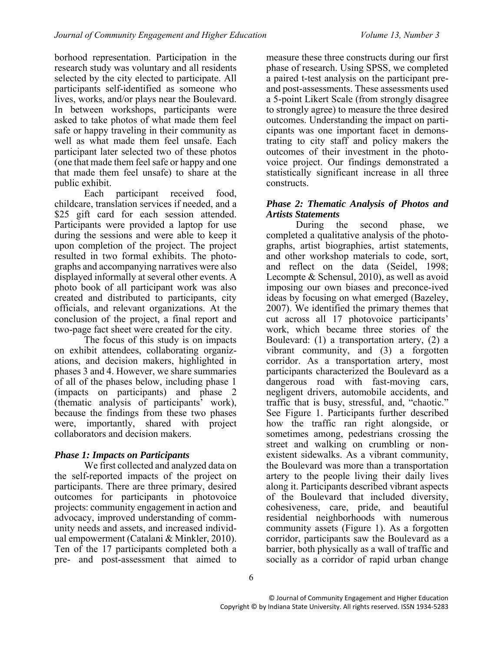borhood representation. Participation in the research study was voluntary and all residents selected by the city elected to participate. All participants self-identified as someone who lives, works, and/or plays near the Boulevard. In between workshops, participants were asked to take photos of what made them feel safe or happy traveling in their community as well as what made them feel unsafe. Each participant later selected two of these photos (one that made them feel safe or happy and one that made them feel unsafe) to share at the public exhibit.

Each participant received food, childcare, translation services if needed, and a \$25 gift card for each session attended. Participants were provided a laptop for use during the sessions and were able to keep it upon completion of the project. The project resulted in two formal exhibits. The photographs and accompanying narratives were also displayed informally at several other events. A photo book of all participant work was also created and distributed to participants, city officials, and relevant organizations. At the conclusion of the project, a final report and two-page fact sheet were created for the city.

The focus of this study is on impacts on exhibit attendees, collaborating organizations, and decision makers, highlighted in phases 3 and 4. However, we share summaries of all of the phases below, including phase 1 (impacts on participants) and phase 2 (thematic analysis of participants' work), because the findings from these two phases were, importantly, shared with project collaborators and decision makers.

# *Phase 1: Impacts on Participants*

We first collected and analyzed data on the self-reported impacts of the project on participants. There are three primary, desired outcomes for participants in photovoice projects: community engagement in action and advocacy, improved understanding of community needs and assets, and increased individual empowerment (Catalani & Minkler, 2010). Ten of the 17 participants completed both a pre- and post-assessment that aimed to measure these three constructs during our first phase of research. Using SPSS, we completed a paired t-test analysis on the participant preand post-assessments. These assessments used a 5-point Likert Scale (from strongly disagree to strongly agree) to measure the three desired outcomes. Understanding the impact on participants was one important facet in demonstrating to city staff and policy makers the outcomes of their investment in the photovoice project. Our findings demonstrated a statistically significant increase in all three constructs.

### *Phase 2: Thematic Analysis of Photos and Artists Statements*

During the second phase, we completed a qualitative analysis of the photographs, artist biographies, artist statements, and other workshop materials to code, sort, and reflect on the data (Seidel, 1998; Lecompte & Schensul, 2010), as well as avoid imposing our own biases and preconce-ived ideas by focusing on what emerged (Bazeley, 2007). We identified the primary themes that cut across all 17 photovoice participants' work, which became three stories of the Boulevard: (1) a transportation artery, (2) a vibrant community, and (3) a forgotten corridor. As a transportation artery, most participants characterized the Boulevard as a dangerous road with fast-moving cars, negligent drivers, automobile accidents, and traffic that is busy, stressful, and, "chaotic." See Figure 1. Participants further described how the traffic ran right alongside, or sometimes among, pedestrians crossing the street and walking on crumbling or nonexistent sidewalks. As a vibrant community, the Boulevard was more than a transportation artery to the people living their daily lives along it. Participants described vibrant aspects of the Boulevard that included diversity, cohesiveness, care, pride, and beautiful residential neighborhoods with numerous community assets (Figure 1). As a forgotten corridor, participants saw the Boulevard as a barrier, both physically as a wall of traffic and socially as a corridor of rapid urban change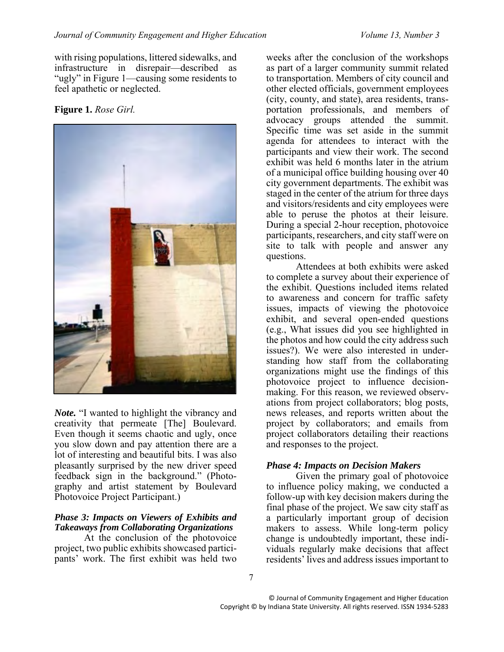with rising populations, littered sidewalks, and infrastructure in disrepair—described as "ugly" in Figure 1—causing some residents to feel apathetic or neglected.

**Figure 1.** *Rose Girl.*



*Note.* "I wanted to highlight the vibrancy and creativity that permeate [The] Boulevard. Even though it seems chaotic and ugly, once you slow down and pay attention there are a lot of interesting and beautiful bits. I was also pleasantly surprised by the new driver speed feedback sign in the background." (Photography and artist statement by Boulevard Photovoice Project Participant.)

#### *Phase 3: Impacts on Viewers of Exhibits and Takeaways from Collaborating Organizations*

At the conclusion of the photovoice project, two public exhibits showcased participants' work. The first exhibit was held two

weeks after the conclusion of the workshops as part of a larger community summit related to transportation. Members of city council and other elected officials, government employees (city, county, and state), area residents, transportation professionals, and members of advocacy groups attended the summit. Specific time was set aside in the summit agenda for attendees to interact with the participants and view their work. The second exhibit was held 6 months later in the atrium of a municipal office building housing over 40 city government departments. The exhibit was staged in the center of the atrium for three days and visitors/residents and city employees were able to peruse the photos at their leisure. During a special 2-hour reception, photovoice participants, researchers, and city staff were on site to talk with people and answer any questions.

Attendees at both exhibits were asked to complete a survey about their experience of the exhibit. Questions included items related to awareness and concern for traffic safety issues, impacts of viewing the photovoice exhibit, and several open-ended questions (e.g., What issues did you see highlighted in the photos and how could the city address such issues?). We were also interested in understanding how staff from the collaborating organizations might use the findings of this photovoice project to influence decisionmaking. For this reason, we reviewed observations from project collaborators; blog posts, news releases, and reports written about the project by collaborators; and emails from project collaborators detailing their reactions and responses to the project.

#### *Phase 4: Impacts on Decision Makers*

Given the primary goal of photovoice to influence policy making, we conducted a follow-up with key decision makers during the final phase of the project. We saw city staff as a particularly important group of decision makers to assess. While long-term policy change is undoubtedly important, these individuals regularly make decisions that affect residents' lives and address issues important to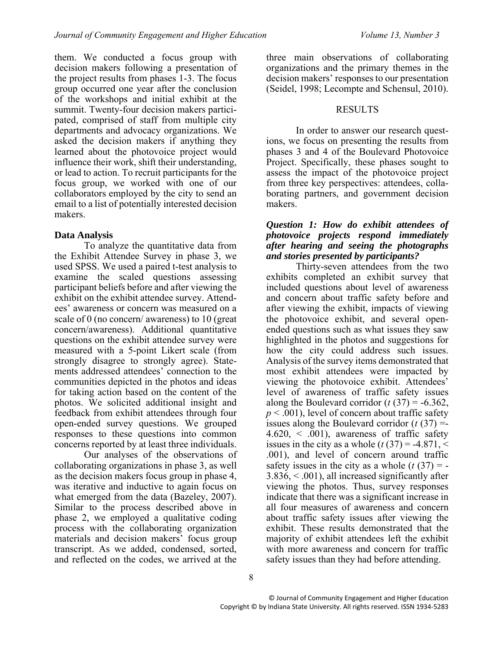them. We conducted a focus group with decision makers following a presentation of the project results from phases 1-3. The focus group occurred one year after the conclusion of the workshops and initial exhibit at the summit. Twenty-four decision makers participated, comprised of staff from multiple city departments and advocacy organizations. We asked the decision makers if anything they learned about the photovoice project would influence their work, shift their understanding, or lead to action. To recruit participants for the focus group, we worked with one of our collaborators employed by the city to send an email to a list of potentially interested decision makers.

# **Data Analysis**

To analyze the quantitative data from the Exhibit Attendee Survey in phase 3, we used SPSS. We used a paired t-test analysis to examine the scaled questions assessing participant beliefs before and after viewing the exhibit on the exhibit attendee survey. Attendees' awareness or concern was measured on a scale of 0 (no concern/ awareness) to 10 (great concern/awareness). Additional quantitative questions on the exhibit attendee survey were measured with a 5-point Likert scale (from strongly disagree to strongly agree). Statements addressed attendees' connection to the communities depicted in the photos and ideas for taking action based on the content of the photos. We solicited additional insight and feedback from exhibit attendees through four open-ended survey questions. We grouped responses to these questions into common concerns reported by at least three individuals.

Our analyses of the observations of collaborating organizations in phase 3, as well as the decision makers focus group in phase 4, was iterative and inductive to again focus on what emerged from the data (Bazeley, 2007). Similar to the process described above in phase 2, we employed a qualitative coding process with the collaborating organization materials and decision makers' focus group transcript. As we added, condensed, sorted, and reflected on the codes, we arrived at the

three main observations of collaborating organizations and the primary themes in the decision makers' responses to our presentation (Seidel, 1998; Lecompte and Schensul, 2010).

#### RESULTS

In order to answer our research questions, we focus on presenting the results from phases 3 and 4 of the Boulevard Photovoice Project. Specifically, these phases sought to assess the impact of the photovoice project from three key perspectives: attendees, collaborating partners, and government decision makers.

#### *Question 1: How do exhibit attendees of photovoice projects respond immediately after hearing and seeing the photographs and stories presented by participants?*

Thirty-seven attendees from the two exhibits completed an exhibit survey that included questions about level of awareness and concern about traffic safety before and after viewing the exhibit, impacts of viewing the photovoice exhibit, and several openended questions such as what issues they saw highlighted in the photos and suggestions for how the city could address such issues. Analysis of the survey items demonstrated that most exhibit attendees were impacted by viewing the photovoice exhibit. Attendees' level of awareness of traffic safety issues along the Boulevard corridor  $(t (37) = -6.362)$ ,  $p < .001$ ), level of concern about traffic safety issues along the Boulevard corridor  $(t(37))$  =- $4.620, < .001$ , awareness of traffic safety issues in the city as a whole  $(t(37) = -4.871,$  < .001), and level of concern around traffic safety issues in the city as a whole  $(t(37)) = -$ 3.836, < .001), all increased significantly after viewing the photos. Thus, survey responses indicate that there was a significant increase in all four measures of awareness and concern about traffic safety issues after viewing the exhibit. These results demonstrated that the majority of exhibit attendees left the exhibit with more awareness and concern for traffic safety issues than they had before attending.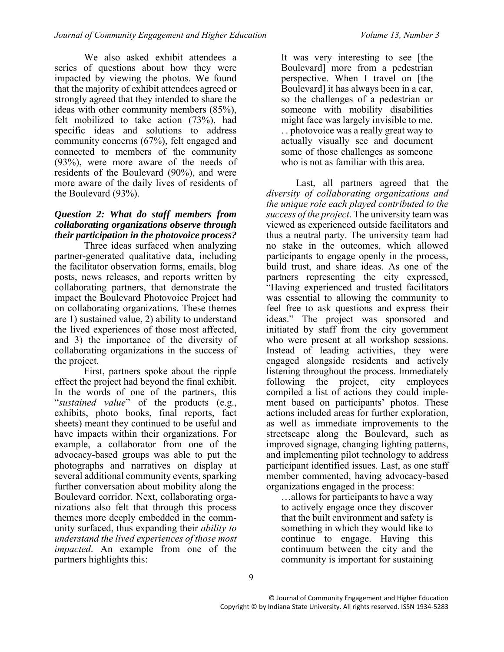We also asked exhibit attendees a series of questions about how they were impacted by viewing the photos. We found that the majority of exhibit attendees agreed or strongly agreed that they intended to share the ideas with other community members (85%), felt mobilized to take action (73%), had specific ideas and solutions to address community concerns (67%), felt engaged and connected to members of the community (93%), were more aware of the needs of residents of the Boulevard (90%), and were more aware of the daily lives of residents of the Boulevard (93%).

#### *Question 2: What do staff members from collaborating organizations observe through their participation in the photovoice process?*

Three ideas surfaced when analyzing partner-generated qualitative data, including the facilitator observation forms, emails, blog posts, news releases, and reports written by collaborating partners, that demonstrate the impact the Boulevard Photovoice Project had on collaborating organizations. These themes are 1) sustained value, 2) ability to understand the lived experiences of those most affected, and 3) the importance of the diversity of collaborating organizations in the success of the project.

First, partners spoke about the ripple effect the project had beyond the final exhibit. In the words of one of the partners, this "*sustained value*" of the products (e.g., exhibits, photo books, final reports, fact sheets) meant they continued to be useful and have impacts within their organizations. For example, a collaborator from one of the advocacy-based groups was able to put the photographs and narratives on display at several additional community events, sparking further conversation about mobility along the Boulevard corridor. Next, collaborating organizations also felt that through this process themes more deeply embedded in the community surfaced, thus expanding their *ability to understand the lived experiences of those most impacted*. An example from one of the partners highlights this:

It was very interesting to see [the Boulevard] more from a pedestrian perspective. When I travel on [the Boulevard] it has always been in a car, so the challenges of a pedestrian or someone with mobility disabilities might face was largely invisible to me. . . photovoice was a really great way to actually visually see and document some of those challenges as someone who is not as familiar with this area.

Last, all partners agreed that the *diversity of collaborating organizations and the unique role each played contributed to the success of the project*. The university team was viewed as experienced outside facilitators and thus a neutral party. The university team had no stake in the outcomes, which allowed participants to engage openly in the process, build trust, and share ideas. As one of the partners representing the city expressed, "Having experienced and trusted facilitators was essential to allowing the community to feel free to ask questions and express their ideas." The project was sponsored and initiated by staff from the city government who were present at all workshop sessions. Instead of leading activities, they were engaged alongside residents and actively listening throughout the process. Immediately following the project, city employees compiled a list of actions they could implement based on participants' photos. These actions included areas for further exploration, as well as immediate improvements to the streetscape along the Boulevard, such as improved signage, changing lighting patterns, and implementing pilot technology to address participant identified issues. Last, as one staff member commented, having advocacy-based organizations engaged in the process:

…allows for participants to have a way to actively engage once they discover that the built environment and safety is something in which they would like to continue to engage. Having this continuum between the city and the community is important for sustaining

9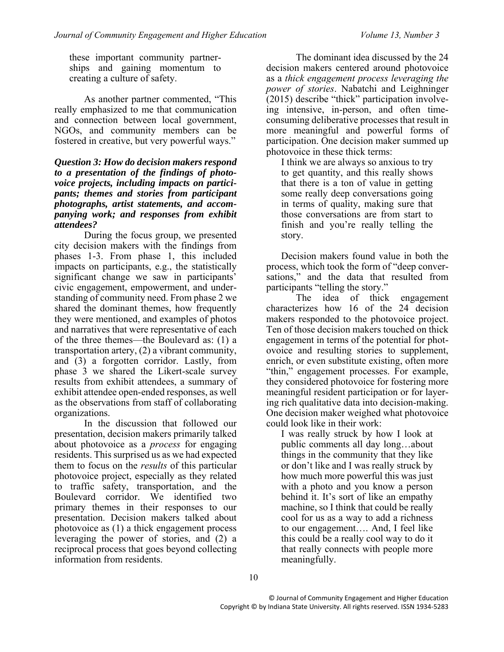these important community partnerships and gaining momentum to creating a culture of safety.

As another partner commented, "This really emphasized to me that communication and connection between local government, NGOs, and community members can be fostered in creative, but very powerful ways."

#### *Question 3: How do decision makers respond to a presentation of the findings of photovoice projects, including impacts on participants; themes and stories from participant photographs, artist statements, and accompanying work; and responses from exhibit attendees?*

During the focus group, we presented city decision makers with the findings from phases 1-3. From phase 1, this included impacts on participants, e.g., the statistically significant change we saw in participants' civic engagement, empowerment, and understanding of community need. From phase 2 we shared the dominant themes, how frequently they were mentioned, and examples of photos and narratives that were representative of each of the three themes—the Boulevard as: (1) a transportation artery, (2) a vibrant community, and (3) a forgotten corridor. Lastly, from phase 3 we shared the Likert-scale survey results from exhibit attendees, a summary of exhibit attendee open-ended responses, as well as the observations from staff of collaborating organizations.

In the discussion that followed our presentation, decision makers primarily talked about photovoice as a *process* for engaging residents. This surprised us as we had expected them to focus on the *results* of this particular photovoice project, especially as they related to traffic safety, transportation, and the Boulevard corridor. We identified two primary themes in their responses to our presentation. Decision makers talked about photovoice as (1) a thick engagement process leveraging the power of stories, and (2) a reciprocal process that goes beyond collecting information from residents.

The dominant idea discussed by the 24 decision makers centered around photovoice as a *thick engagement process leveraging the power of stories*. Nabatchi and Leighninger (2015) describe "thick" participation involveing intensive, in-person, and often timeconsuming deliberative processes that result in more meaningful and powerful forms of participation. One decision maker summed up photovoice in these thick terms:

I think we are always so anxious to try to get quantity, and this really shows that there is a ton of value in getting some really deep conversations going in terms of quality, making sure that those conversations are from start to finish and you're really telling the story.

Decision makers found value in both the process, which took the form of "deep conversations," and the data that resulted from participants "telling the story."

The idea of thick engagement characterizes how 16 of the 24 decision makers responded to the photovoice project. Ten of those decision makers touched on thick engagement in terms of the potential for photovoice and resulting stories to supplement, enrich, or even substitute existing, often more "thin," engagement processes. For example, they considered photovoice for fostering more meaningful resident participation or for layering rich qualitative data into decision-making. One decision maker weighed what photovoice could look like in their work:

I was really struck by how I look at public comments all day long…about things in the community that they like or don't like and I was really struck by how much more powerful this was just with a photo and you know a person behind it. It's sort of like an empathy machine, so I think that could be really cool for us as a way to add a richness to our engagement…. And, I feel like this could be a really cool way to do it that really connects with people more meaningfully.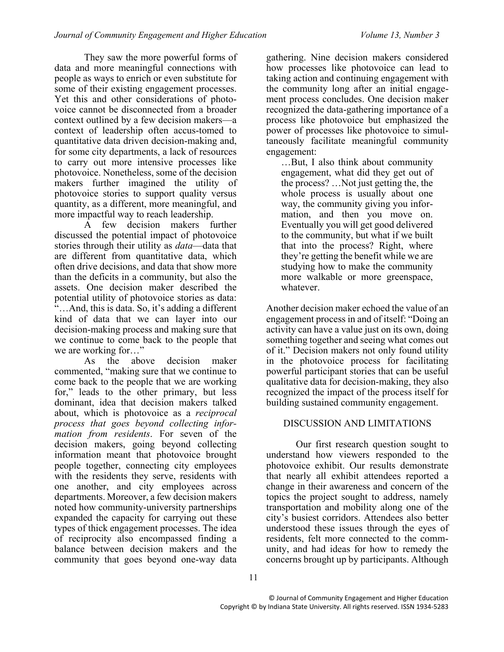They saw the more powerful forms of data and more meaningful connections with people as ways to enrich or even substitute for some of their existing engagement processes. Yet this and other considerations of photovoice cannot be disconnected from a broader context outlined by a few decision makers—a context of leadership often accus-tomed to quantitative data driven decision-making and, for some city departments, a lack of resources to carry out more intensive processes like photovoice. Nonetheless, some of the decision makers further imagined the utility of photovoice stories to support quality versus quantity, as a different, more meaningful, and more impactful way to reach leadership.

A few decision makers further discussed the potential impact of photovoice stories through their utility as *data*—data that are different from quantitative data, which often drive decisions, and data that show more than the deficits in a community, but also the assets. One decision maker described the potential utility of photovoice stories as data:  $\cdot^{\cdot}$ ... And, this is data. So, it's adding a different kind of data that we can layer into our decision-making process and making sure that we continue to come back to the people that we are working for…"

As the above decision maker commented, "making sure that we continue to come back to the people that we are working for," leads to the other primary, but less dominant, idea that decision makers talked about, which is photovoice as a *reciprocal process that goes beyond collecting information from residents*. For seven of the decision makers, going beyond collecting information meant that photovoice brought people together, connecting city employees with the residents they serve, residents with one another, and city employees across departments. Moreover, a few decision makers noted how community-university partnerships expanded the capacity for carrying out these types of thick engagement processes. The idea of reciprocity also encompassed finding a balance between decision makers and the community that goes beyond one-way data

gathering. Nine decision makers considered how processes like photovoice can lead to taking action and continuing engagement with the community long after an initial engagement process concludes. One decision maker recognized the data-gathering importance of a process like photovoice but emphasized the power of processes like photovoice to simultaneously facilitate meaningful community engagement:

…But, I also think about community engagement, what did they get out of the process? …Not just getting the, the whole process is usually about one way, the community giving you information, and then you move on. Eventually you will get good delivered to the community, but what if we built that into the process? Right, where they're getting the benefit while we are studying how to make the community more walkable or more greenspace, whatever.

Another decision maker echoed the value of an engagement process in and of itself: "Doing an activity can have a value just on its own, doing something together and seeing what comes out of it." Decision makers not only found utility in the photovoice process for facilitating powerful participant stories that can be useful qualitative data for decision-making, they also recognized the impact of the process itself for building sustained community engagement.

# DISCUSSION AND LIMITATIONS

Our first research question sought to understand how viewers responded to the photovoice exhibit. Our results demonstrate that nearly all exhibit attendees reported a change in their awareness and concern of the topics the project sought to address, namely transportation and mobility along one of the city's busiest corridors. Attendees also better understood these issues through the eyes of residents, felt more connected to the community, and had ideas for how to remedy the concerns brought up by participants. Although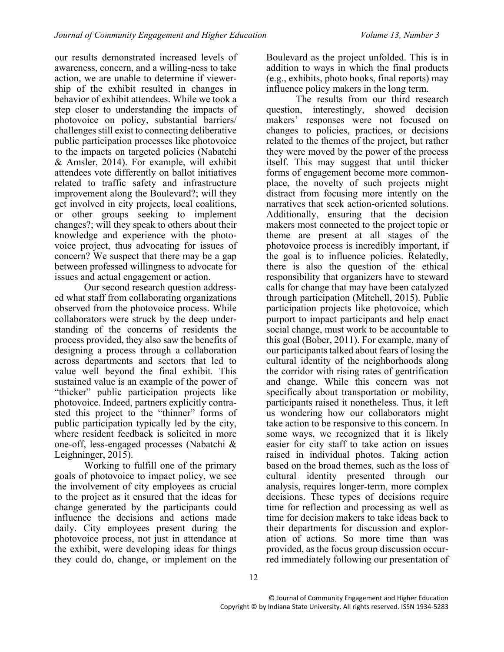our results demonstrated increased levels of awareness, concern, and a willing-ness to take action, we are unable to determine if viewership of the exhibit resulted in changes in behavior of exhibit attendees. While we took a step closer to understanding the impacts of photovoice on policy, substantial barriers/ challenges still exist to connecting deliberative public participation processes like photovoice to the impacts on targeted policies (Nabatchi & Amsler, 2014). For example, will exhibit attendees vote differently on ballot initiatives related to traffic safety and infrastructure improvement along the Boulevard?; will they get involved in city projects, local coalitions, or other groups seeking to implement changes?; will they speak to others about their knowledge and experience with the photovoice project, thus advocating for issues of concern? We suspect that there may be a gap between professed willingness to advocate for issues and actual engagement or action.

Our second research question addressed what staff from collaborating organizations observed from the photovoice process. While collaborators were struck by the deep understanding of the concerns of residents the process provided, they also saw the benefits of designing a process through a collaboration across departments and sectors that led to value well beyond the final exhibit. This sustained value is an example of the power of "thicker" public participation projects like photovoice. Indeed, partners explicitly contrasted this project to the "thinner" forms of public participation typically led by the city, where resident feedback is solicited in more one-off, less-engaged processes (Nabatchi & Leighninger, 2015).

Working to fulfill one of the primary goals of photovoice to impact policy, we see the involvement of city employees as crucial to the project as it ensured that the ideas for change generated by the participants could influence the decisions and actions made daily. City employees present during the photovoice process, not just in attendance at the exhibit, were developing ideas for things they could do, change, or implement on the

Boulevard as the project unfolded. This is in addition to ways in which the final products (e.g., exhibits, photo books, final reports) may influence policy makers in the long term.

The results from our third research question, interestingly, showed decision makers' responses were not focused on changes to policies, practices, or decisions related to the themes of the project, but rather they were moved by the power of the process itself. This may suggest that until thicker forms of engagement become more commonplace, the novelty of such projects might distract from focusing more intently on the narratives that seek action-oriented solutions. Additionally, ensuring that the decision makers most connected to the project topic or theme are present at all stages of the photovoice process is incredibly important, if the goal is to influence policies. Relatedly, there is also the question of the ethical responsibility that organizers have to steward calls for change that may have been catalyzed through participation (Mitchell, 2015). Public participation projects like photovoice, which purport to impact participants and help enact social change, must work to be accountable to this goal (Bober, 2011). For example, many of our participants talked about fears of losing the cultural identity of the neighborhoods along the corridor with rising rates of gentrification and change. While this concern was not specifically about transportation or mobility, participants raised it nonetheless. Thus, it left us wondering how our collaborators might take action to be responsive to this concern. In some ways, we recognized that it is likely easier for city staff to take action on issues raised in individual photos. Taking action based on the broad themes, such as the loss of cultural identity presented through our analysis, requires longer-term, more complex decisions. These types of decisions require time for reflection and processing as well as time for decision makers to take ideas back to their departments for discussion and exploration of actions. So more time than was provided, as the focus group discussion occurred immediately following our presentation of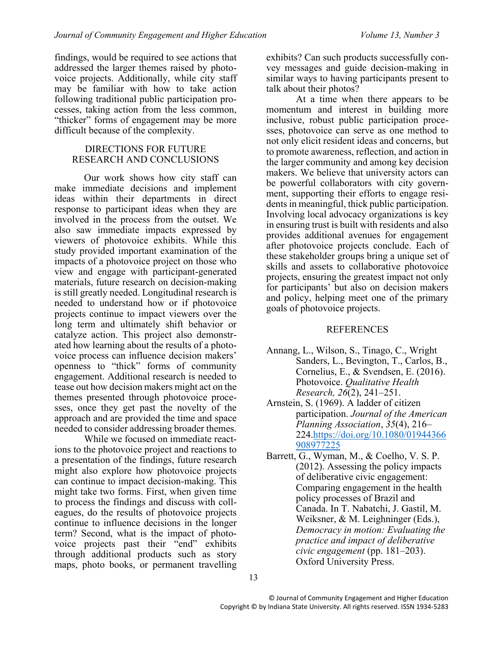findings, would be required to see actions that addressed the larger themes raised by photovoice projects. Additionally, while city staff may be familiar with how to take action following traditional public participation processes, taking action from the less common, "thicker" forms of engagement may be more difficult because of the complexity.

#### DIRECTIONS FOR FUTURE RESEARCH AND CONCLUSIONS

Our work shows how city staff can make immediate decisions and implement ideas within their departments in direct response to participant ideas when they are involved in the process from the outset. We also saw immediate impacts expressed by viewers of photovoice exhibits. While this study provided important examination of the impacts of a photovoice project on those who view and engage with participant-generated materials, future research on decision-making is still greatly needed. Longitudinal research is needed to understand how or if photovoice projects continue to impact viewers over the long term and ultimately shift behavior or catalyze action. This project also demonstrated how learning about the results of a photovoice process can influence decision makers' openness to "thick" forms of community engagement. Additional research is needed to tease out how decision makers might act on the themes presented through photovoice processes, once they get past the novelty of the approach and are provided the time and space needed to consider addressing broader themes.

While we focused on immediate reactions to the photovoice project and reactions to a presentation of the findings, future research might also explore how photovoice projects can continue to impact decision-making. This might take two forms. First, when given time to process the findings and discuss with colleagues, do the results of photovoice projects continue to influence decisions in the longer term? Second, what is the impact of photovoice projects past their "end" exhibits through additional products such as story maps, photo books, or permanent travelling

exhibits? Can such products successfully convey messages and guide decision-making in similar ways to having participants present to talk about their photos?

At a time when there appears to be momentum and interest in building more inclusive, robust public participation processes, photovoice can serve as one method to not only elicit resident ideas and concerns, but to promote awareness, reflection, and action in the larger community and among key decision makers. We believe that university actors can be powerful collaborators with city government, supporting their efforts to engage residents in meaningful, thick public participation. Involving local advocacy organizations is key in ensuring trust is built with residents and also provides additional avenues for engagement after photovoice projects conclude. Each of these stakeholder groups bring a unique set of skills and assets to collaborative photovoice projects, ensuring the greatest impact not only for participants' but also on decision makers and policy, helping meet one of the primary goals of photovoice projects.

#### REFERENCES

- Annang, L., Wilson, S., Tinago, C., Wright Sanders, L., Bevington, T., Carlos, B., Cornelius, E., & Svendsen, E. (2016). Photovoice. *Qualitative Health Research, 26*(2), 241–251.
- Arnstein, S. (1969). A ladder of citizen participation. *Journal of the American Planning Association*, *35*(4), 216– 224[.https://doi.org/10.1080/01944366](https://doi.org/10.1080/01944366908977225) [908977225](https://doi.org/10.1080/01944366908977225)
- Barrett, G., Wyman, M., & Coelho, V. S. P. (2012). Assessing the policy impacts of deliberative civic engagement: Comparing engagement in the health policy processes of Brazil and Canada. In T. Nabatchi, J. Gastil, M. Weiksner, & M. Leighninger (Eds.), *Democracy in motion: Evaluating the practice and impact of deliberative civic engagement* (pp. 181–203). Oxford University Press.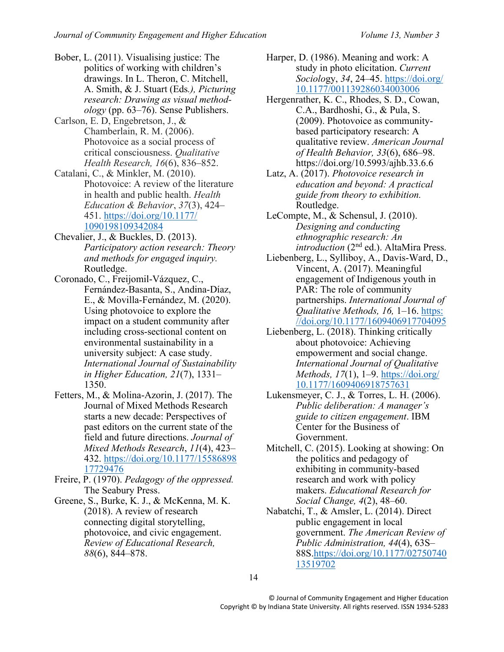- Bober, L. (2011). Visualising justice: The politics of working with children's drawings. In L. Theron, C. Mitchell, A. Smith, & J. Stuart (Eds*.), Picturing research: Drawing as visual methodology* (pp. 63–76). Sense Publishers.
- Carlson, E. D, Engebretson, J., & Chamberlain, R. M. (2006). Photovoice as a social process of critical consciousness. *Qualitative Health Research, 16*(6), 836–852.
- Catalani, C., & Minkler, M. (2010). Photovoice: A review of the literature in health and public health. *Health Education & Behavior*, *37*(3), 424– 451. [https://doi.org/10.1177/](https://doi.org/10.1177/%201090198109342084)  [1090198109342084](https://doi.org/10.1177/%201090198109342084)
- Chevalier, J., & Buckles, D. (2013). *Participatory action research: Theory and methods for engaged inquiry.* Routledge.
- Coronado, C., Freijomil-Vázquez, C., Fernández-Basanta, S., Andina-Díaz, E., & Movilla-Fernández, M. (2020). Using photovoice to explore the impact on a student community after including cross-sectional content on environmental sustainability in a university subject: A case study. *International Journal of Sustainability in Higher Education, 21*(7), 1331– 1350.
- Fetters, M., & Molina-Azorin, J. (2017). The Journal of Mixed Methods Research starts a new decade: Perspectives of past editors on the current state of the field and future directions. *Journal of Mixed Methods Research*, *11*(4), 423– 432. [https://doi.org/10.1177/15586898](https://doi.org/10.1177/1558689817729476) [17729476](https://doi.org/10.1177/1558689817729476)
- Freire, P. (1970). *Pedagogy of the oppressed.* The Seabury Press.
- Greene, S., Burke, K. J., & McKenna, M. K. (2018). A review of research connecting digital storytelling, photovoice, and civic engagement. *Review of Educational Research, 88*(6), 844–878.
- Harper, D. (1986). Meaning and work: A study in photo elicitation. *Current Sociolo*gy, *34*, 24–45. [https://doi.org/](https://doi.org/%2010.1177/001139286034003006)  [10.1177/001139286034003006](https://doi.org/%2010.1177/001139286034003006)
- Hergenrather, K. C., Rhodes, S. D., Cowan, C.A., Bardhoshi, G., & Pula, S. (2009). Photovoice as communitybased participatory research: A qualitative review. *American Journal of Health Behavior, 33*(6), 686–98. https://doi.org/10.5993/ajhb.33.6.6
- Latz, A. (2017). *Photovoice research in education and beyond: A practical guide from theory to exhibition.* Routledge.
- LeCompte, M., & Schensul, J. (2010). *Designing and conducting ethnographic research: An*  introduction (2<sup>nd</sup> ed.). AltaMira Press.
- Liebenberg, L., Sylliboy, A., Davis-Ward, D., Vincent, A. (2017). Meaningful engagement of Indigenous youth in PAR: The role of community partnerships. *International Journal of Qualitative Methods, 16,* 1–16. [https:](https://doi.org/10.1177/1609406917704095) [//doi.org/10.1177/1609406917704095](https://doi.org/10.1177/1609406917704095)
- Liebenberg, L. (2018). Thinking critically about photovoice: Achieving empowerment and social change. *International Journal of Qualitative Methods, 17*(1), 1–9. [https://doi.org/](https://doi.org/%2010.1177/1609406918757631)  [10.1177/1609406918757631](https://doi.org/%2010.1177/1609406918757631)
- Lukensmeyer, C. J., & Torres, L. H. (2006). *Public deliberation: A manager's guide to citizen engagement*. IBM Center for the Business of Government.
- Mitchell, C. (2015). Looking at showing: On the politics and pedagogy of exhibiting in community-based research and work with policy makers. *Educational Research for Social Change, 4*(2), 48–60.
- Nabatchi, T., & Amsler, L. (2014). Direct public engagement in local government. *The American Review of Public Administration, 44*(4), 63S– 88S[.https://doi.org/10.1177/02750740](https://doi.org/10.1177/0275074013519702) [13519702](https://doi.org/10.1177/0275074013519702)

14